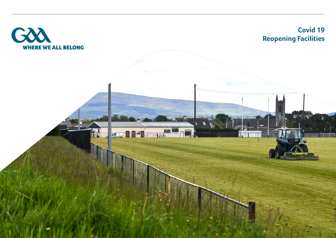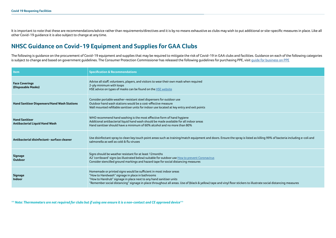It is important to note that these are recommendations/advice rather than requirements/directives and it is by no means exhaustive as clubs may wish to put additional or site-specific measures in place. Like all other Covid-19 guidance it is also subject to change at any time.

## **NHSC Guidance on Covid-19 Equipment and Supplies for GAA Clubs**

The following is guidance on the procurement of Covid-19 equipment and supplies that may be required to mitigate the risk of Covid-19 in GAA clubs and facilities. Guidance on each of the following categories is subject to change and based on government guidelines. The Consumer Protection Commissioner has released the following guidelines for purchasing PPE, visit [guide for business on PPE](https://www.ccpc.ie/consumers/2020/05/01/guidance-for-business-on-ppe-for-consumer-use-during-covid-19-crisis/)

| <b>Item</b>                                                    | <b>Specification &amp; Recommendations</b>                                                                                                                                                                                                                                                                                                                        |  |
|----------------------------------------------------------------|-------------------------------------------------------------------------------------------------------------------------------------------------------------------------------------------------------------------------------------------------------------------------------------------------------------------------------------------------------------------|--|
| <b>Face Coverings</b><br>(Disposable Masks)                    | Advise all staff, volunteers, players, and visitors to wear their own mask when required<br>2-ply minimum with loops<br>HSE advice on types of masks can be found on the HSE website                                                                                                                                                                              |  |
| <b>Hand Sanitiser Dispensers/Hand Wash Stations</b>            | Consider portable weather-resistant steel dispensers for outdoor use<br>Outdoor hand wash stations would be a cost-effective measure<br>Wall mounted refillable sanitiser units for indoor use located at key entry and exit points                                                                                                                               |  |
| <b>Hand Sanitiser</b><br><b>Antibacterial Liquid Hand Wash</b> | WHO recommend hand washing is the most effective form of hand hygiene<br>Additional antibacterial liquid hand wash should be made available for all indoor areas<br>Hand sanitiser should have a minimum of 60% alcohol and no more than 80%                                                                                                                      |  |
| Antibacterial disinfectant-surface cleaner                     | Use disinfectant spray to clean key touch point areas such as training/match equipment and doors. Ensure the spray is listed as killing 99% of bacteria including e-coli and<br>salmonella as well as cold & flu viruses                                                                                                                                          |  |
| Signage<br>Outdoor                                             | Signs should be weather resistant for at least 12 months<br>A2 'corriboard' signs (as illustrated below) suitable for outdoor use How to prevent Coronavirus<br>Consider stencilled ground markings and hazard tape for social distancing measures                                                                                                                |  |
| Signage<br><b>Indoor</b>                                       | Homemade or printed signs would be sufficient in most indoor areas<br>"How to Handwash" signage in place in bathrooms<br>"How to Handrub" signage in place next to any hand sanitiser units<br>"Remember social distancing" signage in place throughout all areas. Use of (black & yellow) tape and vinyl floor stickers to illustrate social distancing measures |  |

*\*\* Note: Thermometers are not required for clubs but if using one ensure it is a non-contact and CE approved device\*\**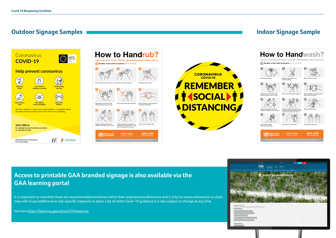### **Outdoor Signage Samples Indoor Signage Sample**









# **Access to printable GAA branded signage is also available via the GAA learning portal**

It is important to note that these are recommendations/advice rather than requirements/directives and it is by no means exhaustive as clubs may wish to put additional or site-specific measures in place. Like all other Covid-19 guidance it is also subject to change at any time.



See here <https://learning.gaa.ie/covid19resources>